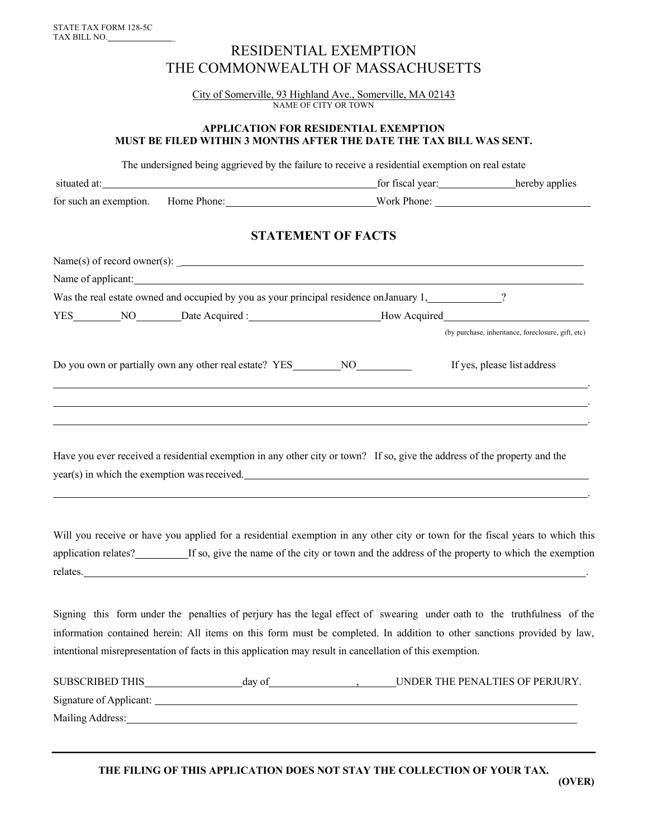## RESIDENTIAL EXEMPTION THE COMMONWEALTH OF MASSACHUSETTS

City of Somerville, 93 Highland Ave., Somerville, MA 02143 NAME OF CITY OR TOWN

#### **APPLICATION FOR RESIDENTIAL EXEMPTION MUST BE FILED WITHIN 3 MONTHS AFTER THE DATE THE TAX BILL WAS SENT.**

The undersigned being aggrieved by the failure to receive a residential exemption on real estate

| situated at:                       | for fiscal year: | hereby applies |
|------------------------------------|------------------|----------------|
| for such an exemption. Home Phone: | Work Phone:      |                |
|                                    |                  |                |

### **STATEMENT OF FACTS**

| $Name(s)$ of record owner(s): $\angle$                                                                                                                                    |                                                    |  |  |
|---------------------------------------------------------------------------------------------------------------------------------------------------------------------------|----------------------------------------------------|--|--|
| Name of applicant:                                                                                                                                                        |                                                    |  |  |
|                                                                                                                                                                           |                                                    |  |  |
| YES__________NO_________Date Acquired :________________________How Acquired_________________________                                                                      |                                                    |  |  |
|                                                                                                                                                                           | (by purchase, inheritance, foreclosure, gift, etc) |  |  |
| Do you own or partially own any other real estate? YES___________________________                                                                                         | If yes, please list address                        |  |  |
|                                                                                                                                                                           |                                                    |  |  |
| Have you ever received a residential exemption in any other city or town? If so, give the address of the property and the<br>year(s) in which the exemption was received. |                                                    |  |  |

Will you receive or have you applied for a residential exemption in any other city or town for the fiscal years to which this application relates?\_\_\_\_\_\_\_\_\_If so, give the name of the city or town and the address of the property to which the exemption relates. .

Signing this form under the penalties of perjury has the legal effect of swearing under oath to the truthfulness of the information contained herein: All items on this form must be completed. In addition to other sanctions provided by law, intentional misrepresentation of facts in this application may result in cancellation of this exemption.

| <b>SUBSCRIBED THIS</b>  | day of | UNDER THE PENALTIES OF PERJURY. |
|-------------------------|--------|---------------------------------|
| Signature of Applicant: |        |                                 |
| Mailing Address:        |        |                                 |

.